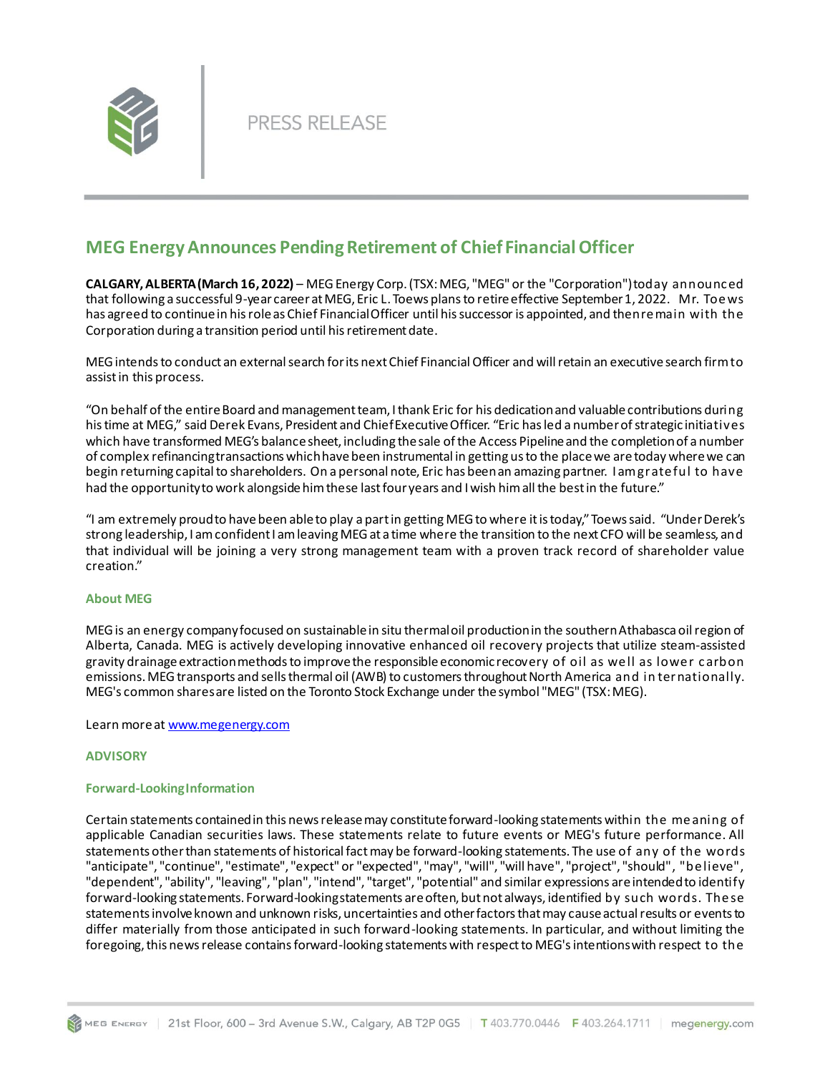

# **MEG Energy Announces Pending Retirement of Chief Financial Officer**

**CALGARY, ALBERTA (March 16, 2022)** – MEG Energy Corp. (TSX: MEG, "MEG" or the "Corporation") today announc ed that following a successful 9-year career at MEG, Eric L. Toews plans to retire effective September 1, 2022. Mr. Toe ws has agreed to continue in his role as Chief Financial Officer until his successor is appointed, and then re main with the Corporation during a transition period until his retirement date.

MEG intends to conduct an external search for its next Chief Financial Officer and will retain an executive search firm to assist in this process.

"On behalf of the entire Board and management team, I thank Eric for his dedication and valuable contributions during his time at MEG," said Derek Evans, President and Chief Executive Officer. "Eric has led a number of strategic initiatives which have transformed MEG's balance sheet, including the sale of the Access Pipeline and the completion of a number of complex refinancing transactions which have been instrumental in getting us to the place we are today where we can begin returning capital to shareholders. On a personal note, Eric has been an amazing partner. I am grate ful to have had the opportunity to work alongside him these last four years and I wish him all the best in the future."

"I am extremely proud to have been able to play a part in getting MEG to where it is today," Toews said. "Under Derek's strong leadership, I am confident I am leaving MEG at a time where the transition to the next CFO will be seamless, and that individual will be joining a very strong management team with a proven track record of shareholder value creation."

# **About MEG**

MEG is an energy company focused on sustainable in situ thermal oil production in the southern Athabasca oil region of Alberta, Canada. MEG is actively developing innovative enhanced oil recovery projects that utilize steam-assisted gravity drainage extraction methods to improve the responsible economic recovery of oil as well as lower carbon emissions. MEG transports and sells thermal oil (AWB) to customers throughout North America and in ternationally. MEG's common shares are listed on the Toronto Stock Exchange under the symbol "MEG" (TSX: MEG).

### Learn more at [www.megenergy.com](http://www.megenergy.com/)

### **ADVISORY**

# **Forward-Looking Information**

Certain statements contained in this news release may constitute forward-looking statements within the me aning of applicable Canadian securities laws. These statements relate to future events or MEG's future performance. All statements other than statements of historical fact may be forward-looking statements. The use of any of the words "anticipate", "continue", "estimate", "expect" or "expected", "may", "will", "will have", "project", "should", "be lieve", "dependent", "ability", "leaving", "plan", "intend", "target", "potential" and similar expressions are intended to identify forward-looking statements. Forward-looking statements are often, but not always, identified by such words. The se statements involve known and unknown risks, uncertainties and other factors that may cause actual results or events to differ materially from those anticipated in such forward-looking statements. In particular, and without limiting the foregoing, this news release contains forward-looking statements with respect to MEG's intentions with respect to the